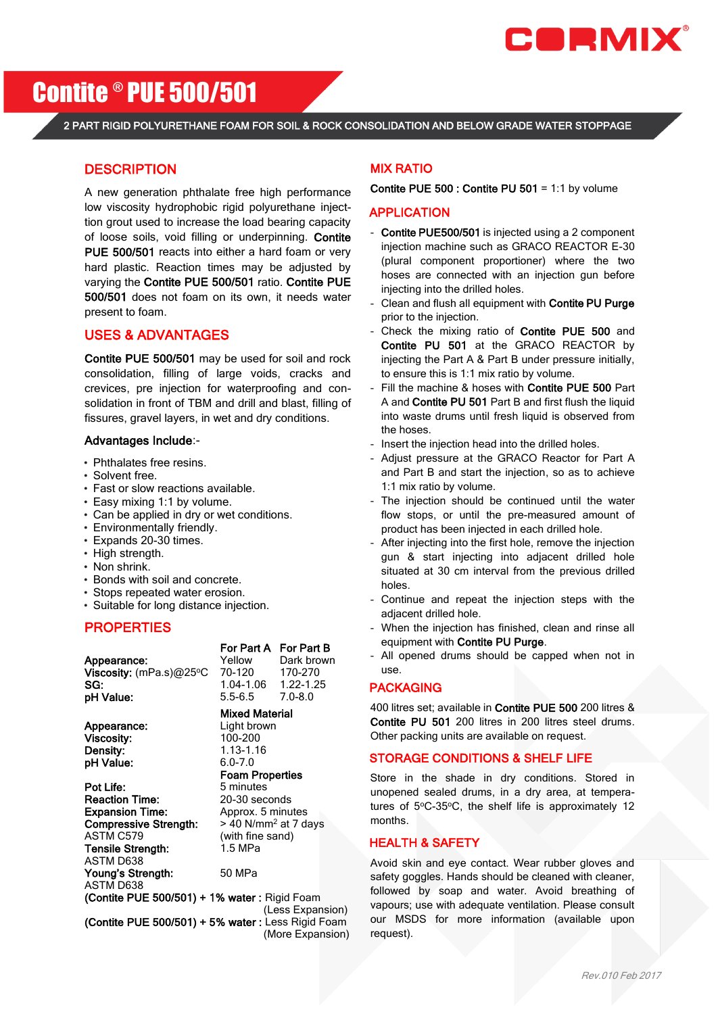

# Contite ® PUE 500/501

2 PART RIGID POLYURETHANE FOAM FOR SOIL & ROCK CONSOLIDATION AND BELOW GRADE WATER STOPPAGE

## **DESCRIPTION**

A new generation phthalate free high performance low viscosity hydrophobic rigid polyurethane injecttion grout used to increase the load bearing capacity of loose soils, void filling or underpinning. Contite PUE 500/501 reacts into either a hard foam or very hard plastic. Reaction times may be adjusted by varying the Contite PUE 500/501 ratio. Contite PUE 500/501 does not foam on its own, it needs water present to foam.

### USES & ADVANTAGES

Contite PUE 500/501 may be used for soil and rock consolidation, filling of large voids, cracks and crevices, pre injection for waterproofing and consolidation in front of TBM and drill and blast, filling of fissures, gravel layers, in wet and dry conditions.

#### Advantages Include:-

- Phthalates free resins.
- Solvent free.
- Fast or slow reactions available.
- Easy mixing 1:1 by volume.
- Can be applied in dry or wet conditions.
- Environmentally friendly.
- Expands 20-30 times.
- High strength.
- Non shrink.
- Bonds with soil and concrete.
- Stops repeated water erosion.
- Suitable for long distance injection.

# **PROPERTIES**

Appearance: Viscosity: (mPa.s)@25°C 70-120 170-270 SG: 1.04-1.06 1.22-1.25<br> **DH Value:** 5.5-6.5 7.0-8.0 **pH Value:** 5.5-6.5 7.0-8.0

Appearance: Light brown Viscosity: 100-200 **Density:** 1.13-1.16<br> **pH Value:** 6.0-7.0 pH Value:

**For Part A** For Part B<br>Yellow Dark brown

# Mixed Material

 Foam Properties Pot Life: 5 minutes Reaction Time: 20-30 seconds Expansion Time: Approx. 5 minutes

**Compressive Strength:**  $> 40$  N/mm<sup>2</sup> at 7 days<br>ASTM C579 (with fine sand) Tensile Strength: 1.5 MPa ASTM D638 Young's Strength: 50 MPa ASTM D638

(with fine sand)

(Contite PUE 500/501) + 1% water : Rigid Foam (Less Expansion) (Contite PUE 500/501) + 5% water : Less Rigid Foam (More Expansion)

#### MIX RATIO

#### Contite PUE 500 : Contite PU 501 = 1:1 by volume

#### APPLICATION

- Contite PUE500/501 is injected using a 2 component injection machine such as GRACO REACTOR E-30 (plural component proportioner) where the two hoses are connected with an injection gun before injecting into the drilled holes.
- Clean and flush all equipment with Contite PU Purge prior to the injection.
- Check the mixing ratio of Contite PUE 500 and Contite PU 501 at the GRACO REACTOR by injecting the Part A & Part B under pressure initially, to ensure this is 1:1 mix ratio by volume.
- Fill the machine & hoses with Contite PUE 500 Part A and Contite PU 501 Part B and first flush the liquid into waste drums until fresh liquid is observed from the hoses.
- Insert the injection head into the drilled holes.
- Adjust pressure at the GRACO Reactor for Part A and Part B and start the injection, so as to achieve 1:1 mix ratio by volume.
- The injection should be continued until the water flow stops, or until the pre-measured amount of product has been injected in each drilled hole.
- After injecting into the first hole, remove the injection gun & start injecting into adjacent drilled hole situated at 30 cm interval from the previous drilled holes.
- Continue and repeat the injection steps with the adjacent drilled hole.
- When the injection has finished, clean and rinse all equipment with Contite PU Purge.
- All opened drums should be capped when not in use.

#### PACKAGING

400 litres set; available in Contite PUE 500 200 litres & Contite PU 501 200 litres in 200 litres steel drums. Other packing units are available on request.

#### STORAGE CONDITIONS & SHELF LIFE

Store in the shade in dry conditions. Stored in unopened sealed drums, in a dry area, at temperatures of  $5^{\circ}$ C-35 $^{\circ}$ C, the shelf life is approximately 12 months.

#### HEALTH & SAFETY

Avoid skin and eye contact. Wear rubber gloves and safety goggles. Hands should be cleaned with cleaner, followed by soap and water. Avoid breathing of vapours; use with adequate ventilation. Please consult our MSDS for more information (available upon request).